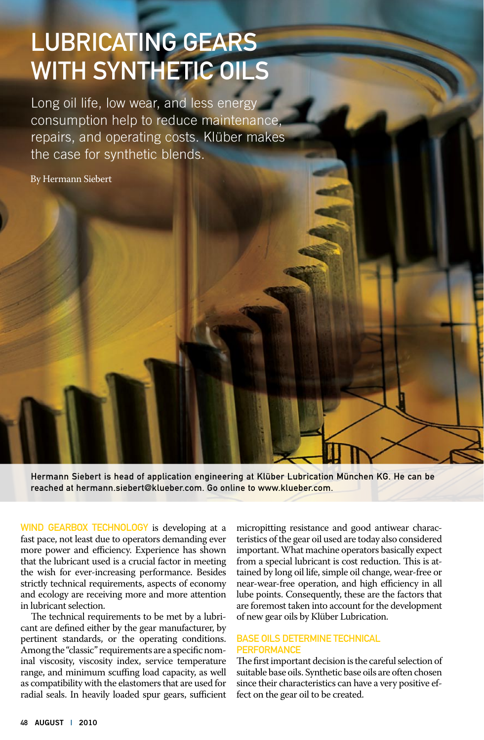## Lubricating Gears with Synthetic Oils

Long oil life, low wear, and less energy consumption help to reduce maintenance, repairs, and operating costs. Klüber makes the case for synthetic blends.

By Hermann Siebert

Hermann Siebert is head of application engineering at Klüber Lubrication München KG. He can be reached at hermann.siebert@klueber.com. Go online to www.klueber.com.

WIND GEARBOX TECHNOLOGY is developing at a fast pace, not least due to operators demanding ever more power and efficiency. Experience has shown that the lubricant used is a crucial factor in meeting the wish for ever-increasing performance. Besides strictly technical requirements, aspects of economy and ecology are receiving more and more attention in lubricant selection.

The technical requirements to be met by a lubricant are defined either by the gear manufacturer, by pertinent standards, or the operating conditions. Among the "classic" requirements are a specific nominal viscosity, viscosity index, service temperature range, and minimum scuffing load capacity, as well as compatibility with the elastomers that are used for radial seals. In heavily loaded spur gears, sufficient micropitting resistance and good antiwear characteristics of the gear oil used are today also considered important. What machine operators basically expect from a special lubricant is cost reduction. This is attained by long oil life, simple oil change, wear-free or near-wear-free operation, and high efficiency in all lube points. Consequently, these are the factors that are foremost taken into account for the development of new gear oils by Klüber Lubrication.

## Base Oils Determine Technical **PERFORMANCE**

The first important decision is the careful selection of suitable base oils. Synthetic base oils are often chosen since their characteristics can have a very positive effect on the gear oil to be created.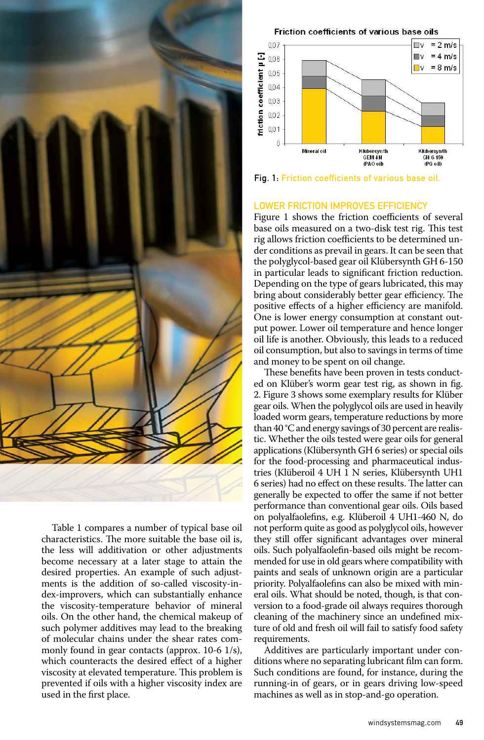

Table 1 compares a number of typical base oil characteristics. The more suitable the base oil is, the less will additivation or other adjustments become necessary at a later stage to attain the desired properties. An example of such adjustments is the addition of so-called viscosity-index-improvers, which can substantially enhance the viscosity-temperature behavior of mineral oils. On the other hand, the chemical makeup of such polymer additives may lead to the breaking of molecular chains under the shear rates commonly found in gear contacts (approx. 10-6 1/s), which counteracts the desired effect of a higher viscosity at elevated temperature. This problem is prevented if oils with a higher viscosity index are used in the first place.

Friction coefficients of various base oils



Fig. 1: Friction coefficients of various base oil.

## Lower Friction Improves Efficiency

Figure 1 shows the friction coefficients of several base oils measured on a two-disk test rig. This test rig allows friction coefficients to be determined under conditions as prevail in gears. It can be seen that the polyglycol-based gear oil Klübersynth GH 6-150 in particular leads to significant friction reduction. Depending on the type of gears lubricated, this may bring about considerably better gear efficiency. The positive effects of a higher efficiency are manifold. One is lower energy consumption at constant output power. Lower oil temperature and hence longer oil life is another. Obviously, this leads to a reduced oil consumption, but also to savings in terms of time and money to be spent on oil change.

These benefits have been proven in tests conducted on Klüber's worm gear test rig, as shown in fig. 2. Figure 3 shows some exemplary results for Klüber gear oils. When the polyglycol oils are used in heavily loaded worm gears, temperature reductions by more than 40 °C and energy savings of 30 percent are realistic. Whether the oils tested were gear oils for general applications (Klübersynth GH 6 series) or special oils for the food-processing and pharmaceutical industries (Klüberoil 4 UH 1 N series, Klübersynth UH1 6 series) had no effect on these results. The latter can generally be expected to offer the same if not better performance than conventional gear oils. Oils based on polyalfaolefins, e.g. Klüberoil 4 UH1-460 N, do not perform quite as good as polyglycol oils, however they still offer significant advantages over mineral oils. Such polyalfaolefin-based oils might be recommended for use in old gears where compatibility with paints and seals of unknown origin are a particular priority. Polyalfaolefins can also be mixed with mineral oils. What should be noted, though, is that conversion to a food-grade oil always requires thorough cleaning of the machinery since an undefined mixture of old and fresh oil will fail to satisfy food safety requirements.

Additives are particularly important under conditions where no separating lubricant film can form. Such conditions are found, for instance, during the running-in of gears, or in gears driving low-speed machines as well as in stop-and-go operation.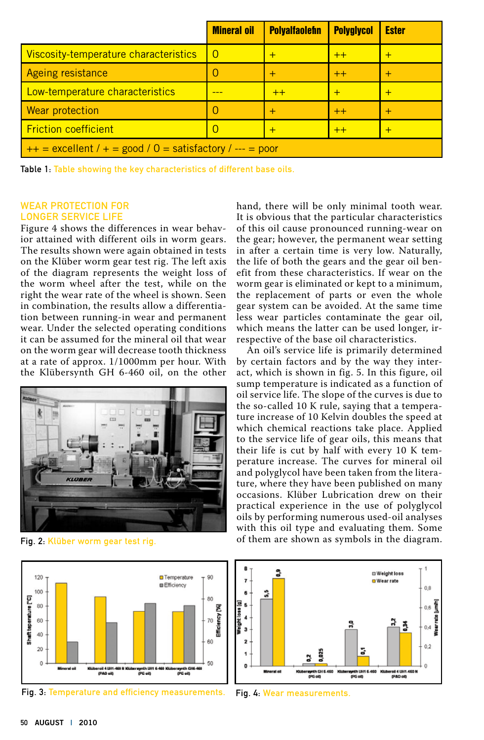|                                                             | <b>Mineral oil</b> | <b>Polyalfaolefin</b> | <b>Polyglycol</b> | <b>Ester</b> |
|-------------------------------------------------------------|--------------------|-----------------------|-------------------|--------------|
| Viscosity-temperature characteristics                       | $\Omega$           | $\div$                | $++$              |              |
| Ageing resistance                                           | $\left( \right)$   | $\div$                | $++$              |              |
| Low-temperature characteristics                             |                    | $++$                  | $\overline{+}$    |              |
| <b>Wear protection</b>                                      | $\left( \right)$   | $^{+}$                | $++$              |              |
| <b>Friction coefficient</b>                                 | O                  | $+$                   | $++$              | +            |
| $++$ = excellent / + = good / 0 = satisfactory / --- = poor |                    |                       |                   |              |

Table 1: Table showing the key characteristics of different base oils.

## Wear Protection for Longer Service Life

Figure 4 shows the differences in wear behavior attained with different oils in worm gears. The results shown were again obtained in tests on the Klüber worm gear test rig. The left axis of the diagram represents the weight loss of the worm wheel after the test, while on the right the wear rate of the wheel is shown. Seen in combination, the results allow a differentiation between running-in wear and permanent wear. Under the selected operating conditions it can be assumed for the mineral oil that wear on the worm gear will decrease tooth thickness at a rate of approx. 1/1000mm per hour. With the Klübersynth GH 6-460 oil, on the other



Fig. 2: Klüber worm gear test rig.



Fig. 3: Temperature and efficiency measurements. Fig. 4: Wear measurements.

hand, there will be only minimal tooth wear. It is obvious that the particular characteristics of this oil cause pronounced running-wear on the gear; however, the permanent wear setting in after a certain time is very low. Naturally, the life of both the gears and the gear oil benefit from these characteristics. If wear on the worm gear is eliminated or kept to a minimum, the replacement of parts or even the whole gear system can be avoided. At the same time less wear particles contaminate the gear oil, which means the latter can be used longer, irrespective of the base oil characteristics.

An oil's service life is primarily determined by certain factors and by the way they interact, which is shown in fig. 5. In this figure, oil sump temperature is indicated as a function of oil service life. The slope of the curves is due to the so-called 10 K rule, saying that a temperature increase of 10 Kelvin doubles the speed at which chemical reactions take place. Applied to the service life of gear oils, this means that their life is cut by half with every 10 K temperature increase. The curves for mineral oil and polyglycol have been taken from the literature, where they have been published on many occasions. Klüber Lubrication drew on their practical experience in the use of polyglycol oils by performing numerous used-oil analyses with this oil type and evaluating them. Some of them are shown as symbols in the diagram.